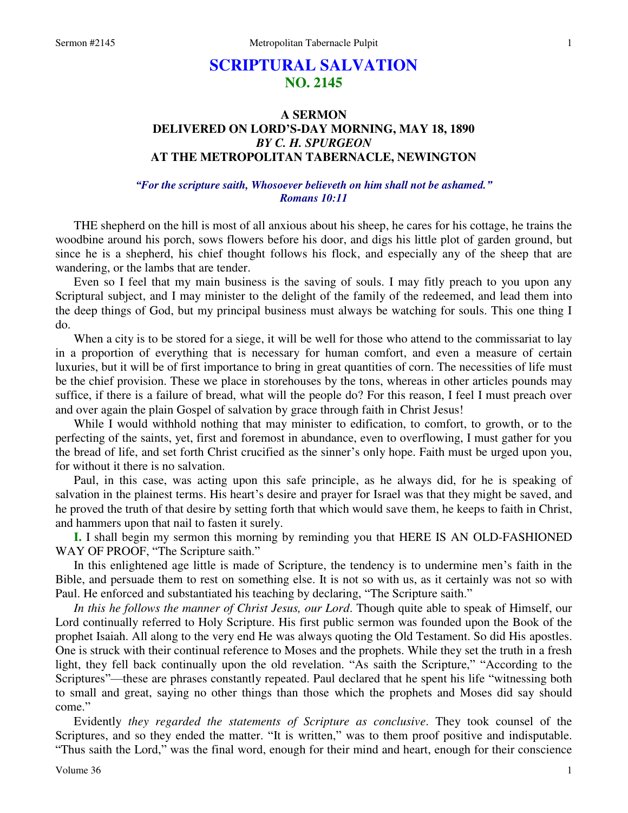# **SCRIPTURAL SALVATION NO. 2145**

## **A SERMON DELIVERED ON LORD'S-DAY MORNING, MAY 18, 1890**  *BY C. H. SPURGEON*  **AT THE METROPOLITAN TABERNACLE, NEWINGTON**

*"For the scripture saith, Whosoever believeth on him shall not be ashamed." Romans 10:11* 

THE shepherd on the hill is most of all anxious about his sheep, he cares for his cottage, he trains the woodbine around his porch, sows flowers before his door, and digs his little plot of garden ground, but since he is a shepherd, his chief thought follows his flock, and especially any of the sheep that are wandering, or the lambs that are tender.

 Even so I feel that my main business is the saving of souls. I may fitly preach to you upon any Scriptural subject, and I may minister to the delight of the family of the redeemed, and lead them into the deep things of God, but my principal business must always be watching for souls. This one thing I do.

When a city is to be stored for a siege, it will be well for those who attend to the commissariat to lay in a proportion of everything that is necessary for human comfort, and even a measure of certain luxuries, but it will be of first importance to bring in great quantities of corn. The necessities of life must be the chief provision. These we place in storehouses by the tons, whereas in other articles pounds may suffice, if there is a failure of bread, what will the people do? For this reason, I feel I must preach over and over again the plain Gospel of salvation by grace through faith in Christ Jesus!

 While I would withhold nothing that may minister to edification, to comfort, to growth, or to the perfecting of the saints, yet, first and foremost in abundance, even to overflowing, I must gather for you the bread of life, and set forth Christ crucified as the sinner's only hope. Faith must be urged upon you, for without it there is no salvation.

 Paul, in this case, was acting upon this safe principle, as he always did, for he is speaking of salvation in the plainest terms. His heart's desire and prayer for Israel was that they might be saved, and he proved the truth of that desire by setting forth that which would save them, he keeps to faith in Christ, and hammers upon that nail to fasten it surely.

**I.** I shall begin my sermon this morning by reminding you that HERE IS AN OLD-FASHIONED WAY OF PROOF, "The Scripture saith."

 In this enlightened age little is made of Scripture, the tendency is to undermine men's faith in the Bible, and persuade them to rest on something else. It is not so with us, as it certainly was not so with Paul. He enforced and substantiated his teaching by declaring, "The Scripture saith."

*In this he follows the manner of Christ Jesus, our Lord*. Though quite able to speak of Himself, our Lord continually referred to Holy Scripture. His first public sermon was founded upon the Book of the prophet Isaiah. All along to the very end He was always quoting the Old Testament. So did His apostles. One is struck with their continual reference to Moses and the prophets. While they set the truth in a fresh light, they fell back continually upon the old revelation. "As saith the Scripture," "According to the Scriptures"—these are phrases constantly repeated. Paul declared that he spent his life "witnessing both to small and great, saying no other things than those which the prophets and Moses did say should come."

 Evidently *they regarded the statements of Scripture as conclusive*. They took counsel of the Scriptures, and so they ended the matter. "It is written," was to them proof positive and indisputable. "Thus saith the Lord," was the final word, enough for their mind and heart, enough for their conscience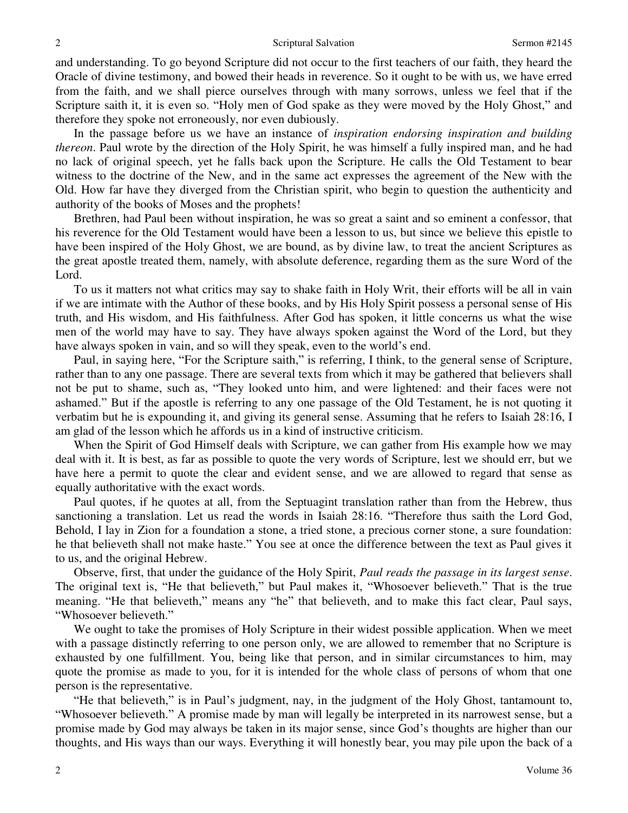and understanding. To go beyond Scripture did not occur to the first teachers of our faith, they heard the Oracle of divine testimony, and bowed their heads in reverence. So it ought to be with us, we have erred from the faith, and we shall pierce ourselves through with many sorrows, unless we feel that if the Scripture saith it, it is even so. "Holy men of God spake as they were moved by the Holy Ghost," and therefore they spoke not erroneously, nor even dubiously.

 In the passage before us we have an instance of *inspiration endorsing inspiration and building thereon*. Paul wrote by the direction of the Holy Spirit, he was himself a fully inspired man, and he had no lack of original speech, yet he falls back upon the Scripture. He calls the Old Testament to bear witness to the doctrine of the New, and in the same act expresses the agreement of the New with the Old. How far have they diverged from the Christian spirit, who begin to question the authenticity and authority of the books of Moses and the prophets!

 Brethren, had Paul been without inspiration, he was so great a saint and so eminent a confessor, that his reverence for the Old Testament would have been a lesson to us, but since we believe this epistle to have been inspired of the Holy Ghost, we are bound, as by divine law, to treat the ancient Scriptures as the great apostle treated them, namely, with absolute deference, regarding them as the sure Word of the Lord.

 To us it matters not what critics may say to shake faith in Holy Writ, their efforts will be all in vain if we are intimate with the Author of these books, and by His Holy Spirit possess a personal sense of His truth, and His wisdom, and His faithfulness. After God has spoken, it little concerns us what the wise men of the world may have to say. They have always spoken against the Word of the Lord, but they have always spoken in vain, and so will they speak, even to the world's end.

 Paul, in saying here, "For the Scripture saith," is referring, I think, to the general sense of Scripture, rather than to any one passage. There are several texts from which it may be gathered that believers shall not be put to shame, such as, "They looked unto him, and were lightened: and their faces were not ashamed." But if the apostle is referring to any one passage of the Old Testament, he is not quoting it verbatim but he is expounding it, and giving its general sense. Assuming that he refers to Isaiah 28:16, I am glad of the lesson which he affords us in a kind of instructive criticism.

 When the Spirit of God Himself deals with Scripture, we can gather from His example how we may deal with it. It is best, as far as possible to quote the very words of Scripture, lest we should err, but we have here a permit to quote the clear and evident sense, and we are allowed to regard that sense as equally authoritative with the exact words.

 Paul quotes, if he quotes at all, from the Septuagint translation rather than from the Hebrew, thus sanctioning a translation. Let us read the words in Isaiah 28:16. "Therefore thus saith the Lord God, Behold, I lay in Zion for a foundation a stone, a tried stone, a precious corner stone, a sure foundation: he that believeth shall not make haste." You see at once the difference between the text as Paul gives it to us, and the original Hebrew.

 Observe, first, that under the guidance of the Holy Spirit, *Paul reads the passage in its largest sense*. The original text is, "He that believeth," but Paul makes it, "Whosoever believeth." That is the true meaning. "He that believeth," means any "he" that believeth, and to make this fact clear, Paul says, "Whosoever believeth."

 We ought to take the promises of Holy Scripture in their widest possible application. When we meet with a passage distinctly referring to one person only, we are allowed to remember that no Scripture is exhausted by one fulfillment. You, being like that person, and in similar circumstances to him, may quote the promise as made to you, for it is intended for the whole class of persons of whom that one person is the representative.

"He that believeth," is in Paul's judgment, nay, in the judgment of the Holy Ghost, tantamount to, "Whosoever believeth." A promise made by man will legally be interpreted in its narrowest sense, but a promise made by God may always be taken in its major sense, since God's thoughts are higher than our thoughts, and His ways than our ways. Everything it will honestly bear, you may pile upon the back of a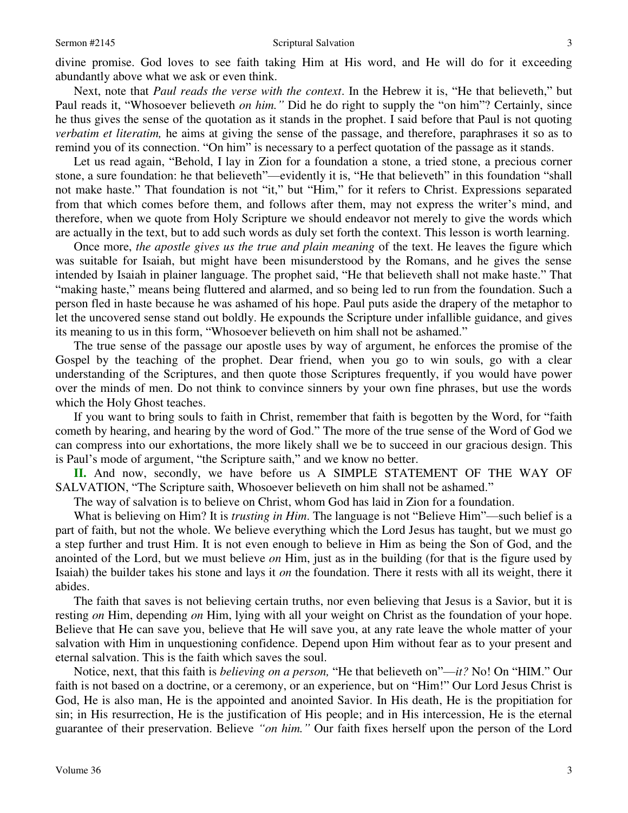divine promise. God loves to see faith taking Him at His word, and He will do for it exceeding abundantly above what we ask or even think.

 Next, note that *Paul reads the verse with the context*. In the Hebrew it is, "He that believeth," but Paul reads it, "Whosoever believeth *on him."* Did he do right to supply the "on him"? Certainly, since he thus gives the sense of the quotation as it stands in the prophet. I said before that Paul is not quoting *verbatim et literatim*, he aims at giving the sense of the passage, and therefore, paraphrases it so as to remind you of its connection. "On him" is necessary to a perfect quotation of the passage as it stands.

 Let us read again, "Behold, I lay in Zion for a foundation a stone, a tried stone, a precious corner stone, a sure foundation: he that believeth"—evidently it is, "He that believeth" in this foundation "shall not make haste." That foundation is not "it," but "Him," for it refers to Christ. Expressions separated from that which comes before them, and follows after them, may not express the writer's mind, and therefore, when we quote from Holy Scripture we should endeavor not merely to give the words which are actually in the text, but to add such words as duly set forth the context. This lesson is worth learning.

 Once more, *the apostle gives us the true and plain meaning* of the text. He leaves the figure which was suitable for Isaiah, but might have been misunderstood by the Romans, and he gives the sense intended by Isaiah in plainer language. The prophet said, "He that believeth shall not make haste." That "making haste," means being fluttered and alarmed, and so being led to run from the foundation. Such a person fled in haste because he was ashamed of his hope. Paul puts aside the drapery of the metaphor to let the uncovered sense stand out boldly. He expounds the Scripture under infallible guidance, and gives its meaning to us in this form, "Whosoever believeth on him shall not be ashamed."

 The true sense of the passage our apostle uses by way of argument, he enforces the promise of the Gospel by the teaching of the prophet. Dear friend, when you go to win souls, go with a clear understanding of the Scriptures, and then quote those Scriptures frequently, if you would have power over the minds of men. Do not think to convince sinners by your own fine phrases, but use the words which the Holy Ghost teaches.

 If you want to bring souls to faith in Christ, remember that faith is begotten by the Word, for "faith cometh by hearing, and hearing by the word of God." The more of the true sense of the Word of God we can compress into our exhortations, the more likely shall we be to succeed in our gracious design. This is Paul's mode of argument, "the Scripture saith," and we know no better.

**II.** And now, secondly, we have before us A SIMPLE STATEMENT OF THE WAY OF SALVATION, "The Scripture saith, Whosoever believeth on him shall not be ashamed."

The way of salvation is to believe on Christ, whom God has laid in Zion for a foundation.

 What is believing on Him? It is *trusting in Him*. The language is not "Believe Him"—such belief is a part of faith, but not the whole. We believe everything which the Lord Jesus has taught, but we must go a step further and trust Him. It is not even enough to believe in Him as being the Son of God, and the anointed of the Lord, but we must believe *on* Him, just as in the building (for that is the figure used by Isaiah) the builder takes his stone and lays it *on* the foundation. There it rests with all its weight, there it abides.

 The faith that saves is not believing certain truths, nor even believing that Jesus is a Savior, but it is resting *on* Him, depending *on* Him, lying with all your weight on Christ as the foundation of your hope. Believe that He can save you, believe that He will save you, at any rate leave the whole matter of your salvation with Him in unquestioning confidence. Depend upon Him without fear as to your present and eternal salvation. This is the faith which saves the soul.

 Notice, next, that this faith is *believing on a person,* "He that believeth on"—*it?* No! On "HIM." Our faith is not based on a doctrine, or a ceremony, or an experience, but on "Him!" Our Lord Jesus Christ is God, He is also man, He is the appointed and anointed Savior. In His death, He is the propitiation for sin; in His resurrection, He is the justification of His people; and in His intercession, He is the eternal guarantee of their preservation. Believe *"on him."* Our faith fixes herself upon the person of the Lord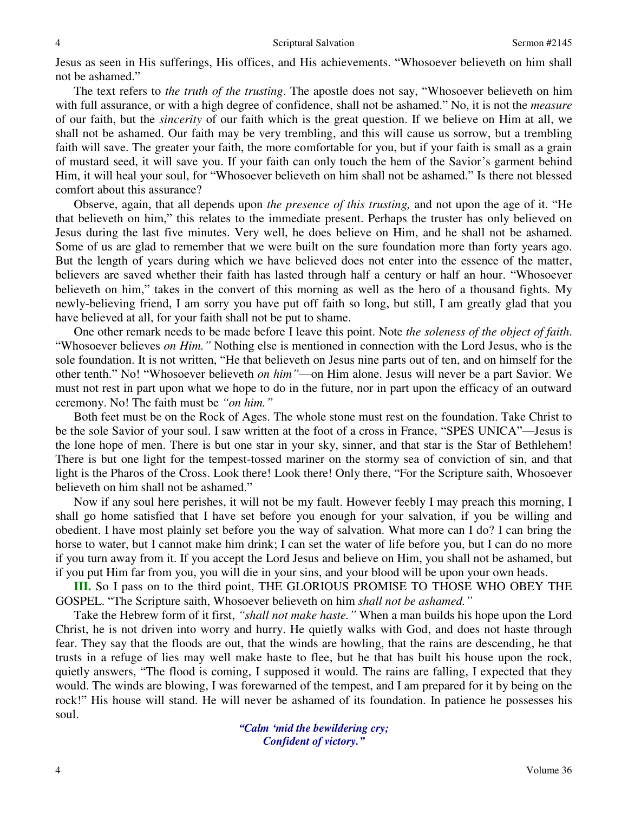Jesus as seen in His sufferings, His offices, and His achievements. "Whosoever believeth on him shall not be ashamed."

 The text refers to *the truth of the trusting*. The apostle does not say, "Whosoever believeth on him with full assurance, or with a high degree of confidence, shall not be ashamed." No, it is not the *measure*  of our faith, but the *sincerity* of our faith which is the great question. If we believe on Him at all, we shall not be ashamed. Our faith may be very trembling, and this will cause us sorrow, but a trembling faith will save. The greater your faith, the more comfortable for you, but if your faith is small as a grain of mustard seed, it will save you. If your faith can only touch the hem of the Savior's garment behind Him, it will heal your soul, for "Whosoever believeth on him shall not be ashamed." Is there not blessed comfort about this assurance?

 Observe, again, that all depends upon *the presence of this trusting,* and not upon the age of it. "He that believeth on him," this relates to the immediate present. Perhaps the truster has only believed on Jesus during the last five minutes. Very well, he does believe on Him, and he shall not be ashamed. Some of us are glad to remember that we were built on the sure foundation more than forty years ago. But the length of years during which we have believed does not enter into the essence of the matter, believers are saved whether their faith has lasted through half a century or half an hour. "Whosoever believeth on him," takes in the convert of this morning as well as the hero of a thousand fights. My newly-believing friend, I am sorry you have put off faith so long, but still, I am greatly glad that you have believed at all, for your faith shall not be put to shame.

 One other remark needs to be made before I leave this point. Note *the soleness of the object of faith*. "Whosoever believes *on Him."* Nothing else is mentioned in connection with the Lord Jesus, who is the sole foundation. It is not written, "He that believeth on Jesus nine parts out of ten, and on himself for the other tenth." No! "Whosoever believeth *on him"*—on Him alone. Jesus will never be a part Savior. We must not rest in part upon what we hope to do in the future, nor in part upon the efficacy of an outward ceremony. No! The faith must be *"on him."*

 Both feet must be on the Rock of Ages. The whole stone must rest on the foundation. Take Christ to be the sole Savior of your soul. I saw written at the foot of a cross in France, "SPES UNICA"—Jesus is the lone hope of men. There is but one star in your sky, sinner, and that star is the Star of Bethlehem! There is but one light for the tempest-tossed mariner on the stormy sea of conviction of sin, and that light is the Pharos of the Cross. Look there! Look there! Only there, "For the Scripture saith, Whosoever believeth on him shall not be ashamed."

 Now if any soul here perishes, it will not be my fault. However feebly I may preach this morning, I shall go home satisfied that I have set before you enough for your salvation, if you be willing and obedient. I have most plainly set before you the way of salvation. What more can I do? I can bring the horse to water, but I cannot make him drink; I can set the water of life before you, but I can do no more if you turn away from it. If you accept the Lord Jesus and believe on Him, you shall not be ashamed, but if you put Him far from you, you will die in your sins, and your blood will be upon your own heads.

**III.** So I pass on to the third point, THE GLORIOUS PROMISE TO THOSE WHO OBEY THE GOSPEL. "The Scripture saith, Whosoever believeth on him *shall not be ashamed."*

 Take the Hebrew form of it first, *"shall not make haste."* When a man builds his hope upon the Lord Christ, he is not driven into worry and hurry. He quietly walks with God, and does not haste through fear. They say that the floods are out, that the winds are howling, that the rains are descending, he that trusts in a refuge of lies may well make haste to flee, but he that has built his house upon the rock, quietly answers, "The flood is coming, I supposed it would. The rains are falling, I expected that they would. The winds are blowing, I was forewarned of the tempest, and I am prepared for it by being on the rock!" His house will stand. He will never be ashamed of its foundation. In patience he possesses his soul.

> *"Calm 'mid the bewildering cry; Confident of victory."*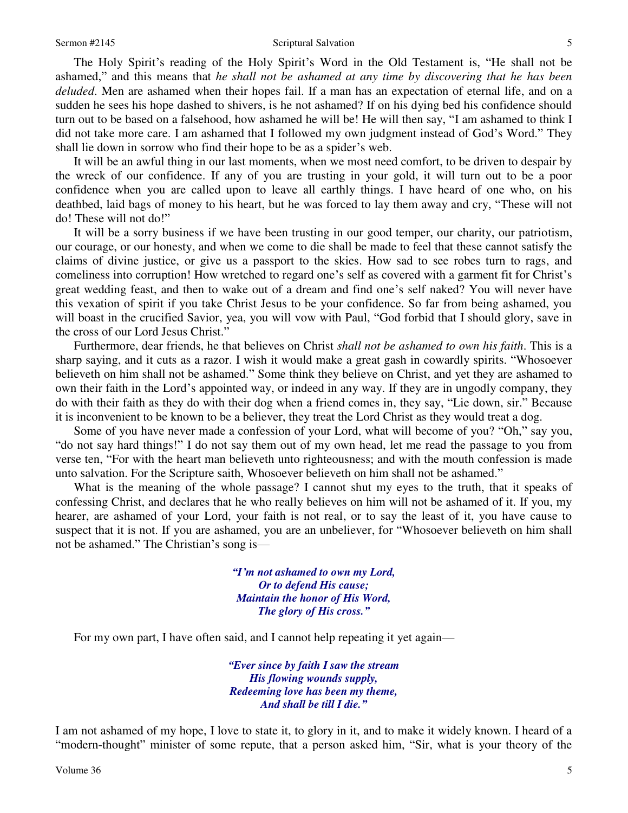#### Sermon #2145 Seriptural Salvation

 The Holy Spirit's reading of the Holy Spirit's Word in the Old Testament is, "He shall not be ashamed," and this means that *he shall not be ashamed at any time by discovering that he has been deluded*. Men are ashamed when their hopes fail. If a man has an expectation of eternal life, and on a sudden he sees his hope dashed to shivers, is he not ashamed? If on his dying bed his confidence should turn out to be based on a falsehood, how ashamed he will be! He will then say, "I am ashamed to think I did not take more care. I am ashamed that I followed my own judgment instead of God's Word." They shall lie down in sorrow who find their hope to be as a spider's web.

 It will be an awful thing in our last moments, when we most need comfort, to be driven to despair by the wreck of our confidence. If any of you are trusting in your gold, it will turn out to be a poor confidence when you are called upon to leave all earthly things. I have heard of one who, on his deathbed, laid bags of money to his heart, but he was forced to lay them away and cry, "These will not do! These will not do!"

 It will be a sorry business if we have been trusting in our good temper, our charity, our patriotism, our courage, or our honesty, and when we come to die shall be made to feel that these cannot satisfy the claims of divine justice, or give us a passport to the skies. How sad to see robes turn to rags, and comeliness into corruption! How wretched to regard one's self as covered with a garment fit for Christ's great wedding feast, and then to wake out of a dream and find one's self naked? You will never have this vexation of spirit if you take Christ Jesus to be your confidence. So far from being ashamed, you will boast in the crucified Savior, yea, you will vow with Paul, "God forbid that I should glory, save in the cross of our Lord Jesus Christ."

 Furthermore, dear friends, he that believes on Christ *shall not be ashamed to own his faith*. This is a sharp saying, and it cuts as a razor. I wish it would make a great gash in cowardly spirits. "Whosoever believeth on him shall not be ashamed." Some think they believe on Christ, and yet they are ashamed to own their faith in the Lord's appointed way, or indeed in any way. If they are in ungodly company, they do with their faith as they do with their dog when a friend comes in, they say, "Lie down, sir." Because it is inconvenient to be known to be a believer, they treat the Lord Christ as they would treat a dog.

Some of you have never made a confession of your Lord, what will become of you? "Oh," say you, "do not say hard things!" I do not say them out of my own head, let me read the passage to you from verse ten, "For with the heart man believeth unto righteousness; and with the mouth confession is made unto salvation. For the Scripture saith, Whosoever believeth on him shall not be ashamed."

 What is the meaning of the whole passage? I cannot shut my eyes to the truth, that it speaks of confessing Christ, and declares that he who really believes on him will not be ashamed of it. If you, my hearer, are ashamed of your Lord, your faith is not real, or to say the least of it, you have cause to suspect that it is not. If you are ashamed, you are an unbeliever, for "Whosoever believeth on him shall not be ashamed." The Christian's song is—

> *"I'm not ashamed to own my Lord, Or to defend His cause; Maintain the honor of His Word, The glory of His cross."*

For my own part, I have often said, and I cannot help repeating it yet again—

*"Ever since by faith I saw the stream His flowing wounds supply, Redeeming love has been my theme, And shall be till I die."*

I am not ashamed of my hope, I love to state it, to glory in it, and to make it widely known. I heard of a "modern-thought" minister of some repute, that a person asked him, "Sir, what is your theory of the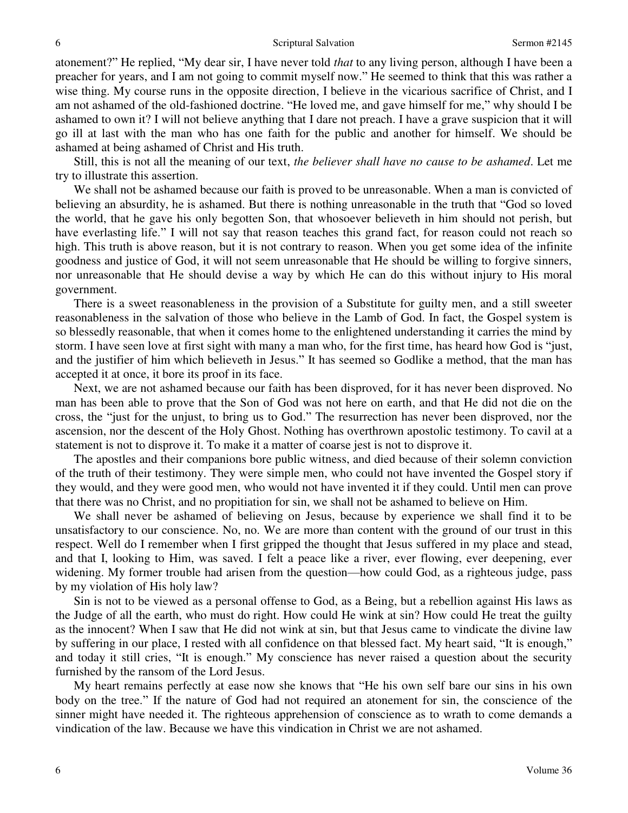atonement?" He replied, "My dear sir, I have never told *that* to any living person, although I have been a preacher for years, and I am not going to commit myself now." He seemed to think that this was rather a wise thing. My course runs in the opposite direction, I believe in the vicarious sacrifice of Christ, and I am not ashamed of the old-fashioned doctrine. "He loved me, and gave himself for me," why should I be ashamed to own it? I will not believe anything that I dare not preach. I have a grave suspicion that it will go ill at last with the man who has one faith for the public and another for himself. We should be ashamed at being ashamed of Christ and His truth.

 Still, this is not all the meaning of our text, *the believer shall have no cause to be ashamed*. Let me try to illustrate this assertion.

We shall not be ashamed because our faith is proved to be unreasonable. When a man is convicted of believing an absurdity, he is ashamed. But there is nothing unreasonable in the truth that "God so loved the world, that he gave his only begotten Son, that whosoever believeth in him should not perish, but have everlasting life." I will not say that reason teaches this grand fact, for reason could not reach so high. This truth is above reason, but it is not contrary to reason. When you get some idea of the infinite goodness and justice of God, it will not seem unreasonable that He should be willing to forgive sinners, nor unreasonable that He should devise a way by which He can do this without injury to His moral government.

 There is a sweet reasonableness in the provision of a Substitute for guilty men, and a still sweeter reasonableness in the salvation of those who believe in the Lamb of God. In fact, the Gospel system is so blessedly reasonable, that when it comes home to the enlightened understanding it carries the mind by storm. I have seen love at first sight with many a man who, for the first time, has heard how God is "just, and the justifier of him which believeth in Jesus." It has seemed so Godlike a method, that the man has accepted it at once, it bore its proof in its face.

 Next, we are not ashamed because our faith has been disproved, for it has never been disproved. No man has been able to prove that the Son of God was not here on earth, and that He did not die on the cross, the "just for the unjust, to bring us to God." The resurrection has never been disproved, nor the ascension, nor the descent of the Holy Ghost. Nothing has overthrown apostolic testimony. To cavil at a statement is not to disprove it. To make it a matter of coarse jest is not to disprove it.

 The apostles and their companions bore public witness, and died because of their solemn conviction of the truth of their testimony. They were simple men, who could not have invented the Gospel story if they would, and they were good men, who would not have invented it if they could. Until men can prove that there was no Christ, and no propitiation for sin, we shall not be ashamed to believe on Him.

 We shall never be ashamed of believing on Jesus, because by experience we shall find it to be unsatisfactory to our conscience. No, no. We are more than content with the ground of our trust in this respect. Well do I remember when I first gripped the thought that Jesus suffered in my place and stead, and that I, looking to Him, was saved. I felt a peace like a river, ever flowing, ever deepening, ever widening. My former trouble had arisen from the question—how could God, as a righteous judge, pass by my violation of His holy law?

 Sin is not to be viewed as a personal offense to God, as a Being, but a rebellion against His laws as the Judge of all the earth, who must do right. How could He wink at sin? How could He treat the guilty as the innocent? When I saw that He did not wink at sin, but that Jesus came to vindicate the divine law by suffering in our place, I rested with all confidence on that blessed fact. My heart said, "It is enough," and today it still cries, "It is enough." My conscience has never raised a question about the security furnished by the ransom of the Lord Jesus.

 My heart remains perfectly at ease now she knows that "He his own self bare our sins in his own body on the tree." If the nature of God had not required an atonement for sin, the conscience of the sinner might have needed it. The righteous apprehension of conscience as to wrath to come demands a vindication of the law. Because we have this vindication in Christ we are not ashamed.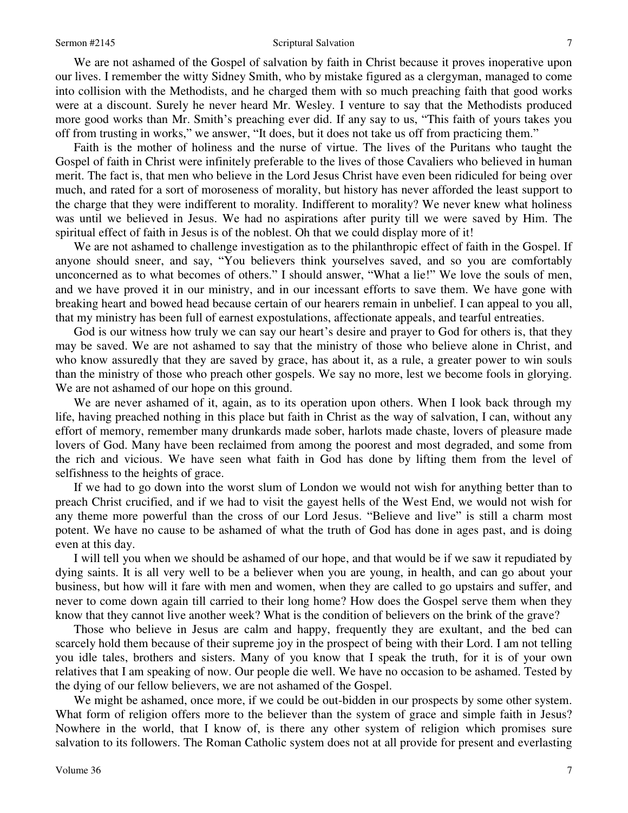#### Sermon #2145 Seriptural Salvation

 We are not ashamed of the Gospel of salvation by faith in Christ because it proves inoperative upon our lives. I remember the witty Sidney Smith, who by mistake figured as a clergyman, managed to come into collision with the Methodists, and he charged them with so much preaching faith that good works were at a discount. Surely he never heard Mr. Wesley. I venture to say that the Methodists produced more good works than Mr. Smith's preaching ever did. If any say to us, "This faith of yours takes you off from trusting in works," we answer, "It does, but it does not take us off from practicing them."

 Faith is the mother of holiness and the nurse of virtue. The lives of the Puritans who taught the Gospel of faith in Christ were infinitely preferable to the lives of those Cavaliers who believed in human merit. The fact is, that men who believe in the Lord Jesus Christ have even been ridiculed for being over much, and rated for a sort of moroseness of morality, but history has never afforded the least support to the charge that they were indifferent to morality. Indifferent to morality? We never knew what holiness was until we believed in Jesus. We had no aspirations after purity till we were saved by Him. The spiritual effect of faith in Jesus is of the noblest. Oh that we could display more of it!

 We are not ashamed to challenge investigation as to the philanthropic effect of faith in the Gospel. If anyone should sneer, and say, "You believers think yourselves saved, and so you are comfortably unconcerned as to what becomes of others." I should answer, "What a lie!" We love the souls of men, and we have proved it in our ministry, and in our incessant efforts to save them. We have gone with breaking heart and bowed head because certain of our hearers remain in unbelief. I can appeal to you all, that my ministry has been full of earnest expostulations, affectionate appeals, and tearful entreaties.

God is our witness how truly we can say our heart's desire and prayer to God for others is, that they may be saved. We are not ashamed to say that the ministry of those who believe alone in Christ, and who know assuredly that they are saved by grace, has about it, as a rule, a greater power to win souls than the ministry of those who preach other gospels. We say no more, lest we become fools in glorying. We are not ashamed of our hope on this ground.

We are never ashamed of it, again, as to its operation upon others. When I look back through my life, having preached nothing in this place but faith in Christ as the way of salvation, I can, without any effort of memory, remember many drunkards made sober, harlots made chaste, lovers of pleasure made lovers of God. Many have been reclaimed from among the poorest and most degraded, and some from the rich and vicious. We have seen what faith in God has done by lifting them from the level of selfishness to the heights of grace.

 If we had to go down into the worst slum of London we would not wish for anything better than to preach Christ crucified, and if we had to visit the gayest hells of the West End, we would not wish for any theme more powerful than the cross of our Lord Jesus. "Believe and live" is still a charm most potent. We have no cause to be ashamed of what the truth of God has done in ages past, and is doing even at this day.

 I will tell you when we should be ashamed of our hope, and that would be if we saw it repudiated by dying saints. It is all very well to be a believer when you are young, in health, and can go about your business, but how will it fare with men and women, when they are called to go upstairs and suffer, and never to come down again till carried to their long home? How does the Gospel serve them when they know that they cannot live another week? What is the condition of believers on the brink of the grave?

 Those who believe in Jesus are calm and happy, frequently they are exultant, and the bed can scarcely hold them because of their supreme joy in the prospect of being with their Lord. I am not telling you idle tales, brothers and sisters. Many of you know that I speak the truth, for it is of your own relatives that I am speaking of now. Our people die well. We have no occasion to be ashamed. Tested by the dying of our fellow believers, we are not ashamed of the Gospel.

We might be ashamed, once more, if we could be out-bidden in our prospects by some other system. What form of religion offers more to the believer than the system of grace and simple faith in Jesus? Nowhere in the world, that I know of, is there any other system of religion which promises sure salvation to its followers. The Roman Catholic system does not at all provide for present and everlasting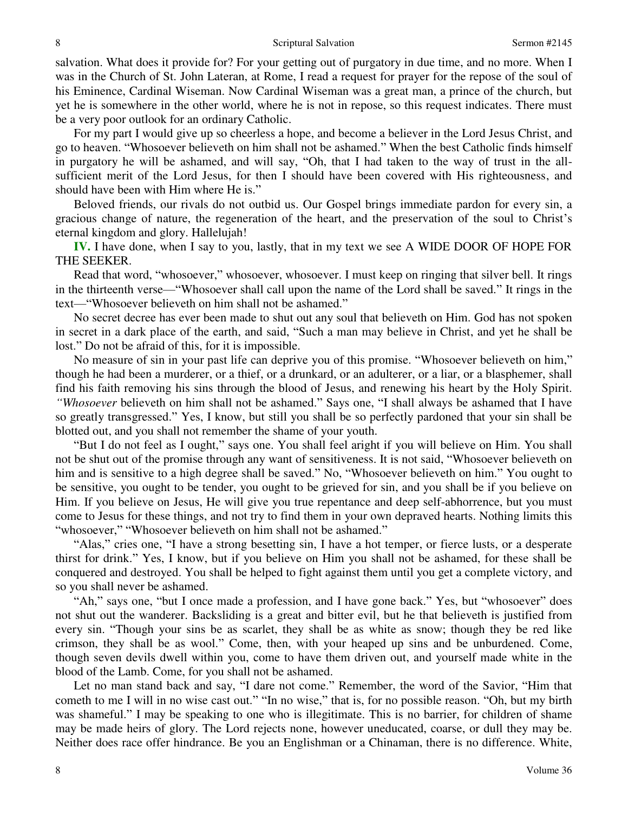salvation. What does it provide for? For your getting out of purgatory in due time, and no more. When I was in the Church of St. John Lateran, at Rome, I read a request for prayer for the repose of the soul of his Eminence, Cardinal Wiseman. Now Cardinal Wiseman was a great man, a prince of the church, but yet he is somewhere in the other world, where he is not in repose, so this request indicates. There must be a very poor outlook for an ordinary Catholic.

 For my part I would give up so cheerless a hope, and become a believer in the Lord Jesus Christ, and go to heaven. "Whosoever believeth on him shall not be ashamed." When the best Catholic finds himself in purgatory he will be ashamed, and will say, "Oh, that I had taken to the way of trust in the allsufficient merit of the Lord Jesus, for then I should have been covered with His righteousness, and should have been with Him where He is."

 Beloved friends, our rivals do not outbid us. Our Gospel brings immediate pardon for every sin, a gracious change of nature, the regeneration of the heart, and the preservation of the soul to Christ's eternal kingdom and glory. Hallelujah!

**IV.** I have done, when I say to you, lastly, that in my text we see A WIDE DOOR OF HOPE FOR THE SEEKER.

 Read that word, "whosoever," whosoever, whosoever. I must keep on ringing that silver bell. It rings in the thirteenth verse—"Whosoever shall call upon the name of the Lord shall be saved." It rings in the text—"Whosoever believeth on him shall not be ashamed."

 No secret decree has ever been made to shut out any soul that believeth on Him. God has not spoken in secret in a dark place of the earth, and said, "Such a man may believe in Christ, and yet he shall be lost." Do not be afraid of this, for it is impossible.

 No measure of sin in your past life can deprive you of this promise. "Whosoever believeth on him," though he had been a murderer, or a thief, or a drunkard, or an adulterer, or a liar, or a blasphemer, shall find his faith removing his sins through the blood of Jesus, and renewing his heart by the Holy Spirit. *"Whosoever* believeth on him shall not be ashamed." Says one, "I shall always be ashamed that I have so greatly transgressed." Yes, I know, but still you shall be so perfectly pardoned that your sin shall be blotted out, and you shall not remember the shame of your youth.

"But I do not feel as I ought," says one. You shall feel aright if you will believe on Him. You shall not be shut out of the promise through any want of sensitiveness. It is not said, "Whosoever believeth on him and is sensitive to a high degree shall be saved." No, "Whosoever believeth on him." You ought to be sensitive, you ought to be tender, you ought to be grieved for sin, and you shall be if you believe on Him. If you believe on Jesus, He will give you true repentance and deep self-abhorrence, but you must come to Jesus for these things, and not try to find them in your own depraved hearts. Nothing limits this "whosoever," "Whosoever believeth on him shall not be ashamed."

"Alas," cries one, "I have a strong besetting sin, I have a hot temper, or fierce lusts, or a desperate thirst for drink." Yes, I know, but if you believe on Him you shall not be ashamed, for these shall be conquered and destroyed. You shall be helped to fight against them until you get a complete victory, and so you shall never be ashamed.

"Ah," says one, "but I once made a profession, and I have gone back." Yes, but "whosoever" does not shut out the wanderer. Backsliding is a great and bitter evil, but he that believeth is justified from every sin. "Though your sins be as scarlet, they shall be as white as snow; though they be red like crimson, they shall be as wool." Come, then, with your heaped up sins and be unburdened. Come, though seven devils dwell within you, come to have them driven out, and yourself made white in the blood of the Lamb. Come, for you shall not be ashamed.

 Let no man stand back and say, "I dare not come." Remember, the word of the Savior, "Him that cometh to me I will in no wise cast out." "In no wise," that is, for no possible reason. "Oh, but my birth was shameful." I may be speaking to one who is illegitimate. This is no barrier, for children of shame may be made heirs of glory. The Lord rejects none, however uneducated, coarse, or dull they may be. Neither does race offer hindrance. Be you an Englishman or a Chinaman, there is no difference. White,